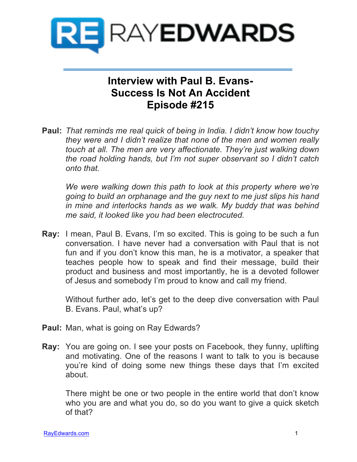

## **Interview with Paul B. Evans-Success Is Not An Accident Episode #215**

**Paul:** *That reminds me real quick of being in India. I didn't know how touchy they were and I didn't realize that none of the men and women really touch at all. The men are very affectionate. They're just walking down the road holding hands, but I'm not super observant so I didn't catch onto that.* 

*We were walking down this path to look at this property where we're going to build an orphanage and the guy next to me just slips his hand in mine and interlocks hands as we walk. My buddy that was behind me said, it looked like you had been electrocuted.*

**Ray:** I mean, Paul B. Evans, I'm so excited. This is going to be such a fun conversation. I have never had a conversation with Paul that is not fun and if you don't know this man, he is a motivator, a speaker that teaches people how to speak and find their message, build their product and business and most importantly, he is a devoted follower of Jesus and somebody I'm proud to know and call my friend.

Without further ado, let's get to the deep dive conversation with Paul B. Evans. Paul, what's up?

- **Paul:** Man, what is going on Ray Edwards?
- **Ray:** You are going on. I see your posts on Facebook, they funny, uplifting and motivating. One of the reasons I want to talk to you is because you're kind of doing some new things these days that I'm excited about.

There might be one or two people in the entire world that don't know who you are and what you do, so do you want to give a quick sketch of that?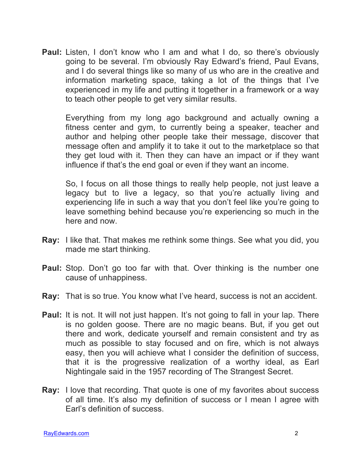**Paul:** Listen, I don't know who I am and what I do, so there's obviously going to be several. I'm obviously Ray Edward's friend, Paul Evans, and I do several things like so many of us who are in the creative and information marketing space, taking a lot of the things that I've experienced in my life and putting it together in a framework or a way to teach other people to get very similar results.

Everything from my long ago background and actually owning a fitness center and gym, to currently being a speaker, teacher and author and helping other people take their message, discover that message often and amplify it to take it out to the marketplace so that they get loud with it. Then they can have an impact or if they want influence if that's the end goal or even if they want an income.

So, I focus on all those things to really help people, not just leave a legacy but to live a legacy, so that you're actually living and experiencing life in such a way that you don't feel like you're going to leave something behind because you're experiencing so much in the here and now.

- **Ray:** I like that. That makes me rethink some things. See what you did, you made me start thinking.
- **Paul:** Stop. Don't go too far with that. Over thinking is the number one cause of unhappiness.
- **Ray:** That is so true. You know what I've heard, success is not an accident.
- **Paul:** It is not. It will not just happen. It's not going to fall in your lap. There is no golden goose. There are no magic beans. But, if you get out there and work, dedicate yourself and remain consistent and try as much as possible to stay focused and on fire, which is not always easy, then you will achieve what I consider the definition of success, that it is the progressive realization of a worthy ideal, as Earl Nightingale said in the 1957 recording of The Strangest Secret.
- **Ray:** I love that recording. That quote is one of my favorites about success of all time. It's also my definition of success or I mean I agree with Earl's definition of success.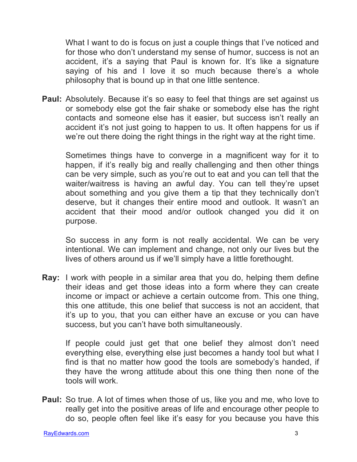What I want to do is focus on just a couple things that I've noticed and for those who don't understand my sense of humor, success is not an accident, it's a saying that Paul is known for. It's like a signature saying of his and I love it so much because there's a whole philosophy that is bound up in that one little sentence.

**Paul:** Absolutely. Because it's so easy to feel that things are set against us or somebody else got the fair shake or somebody else has the right contacts and someone else has it easier, but success isn't really an accident it's not just going to happen to us. It often happens for us if we're out there doing the right things in the right way at the right time.

Sometimes things have to converge in a magnificent way for it to happen, if it's really big and really challenging and then other things can be very simple, such as you're out to eat and you can tell that the waiter/waitress is having an awful day. You can tell they're upset about something and you give them a tip that they technically don't deserve, but it changes their entire mood and outlook. It wasn't an accident that their mood and/or outlook changed you did it on purpose.

So success in any form is not really accidental. We can be very intentional. We can implement and change, not only our lives but the lives of others around us if we'll simply have a little forethought.

**Ray:** I work with people in a similar area that you do, helping them define their ideas and get those ideas into a form where they can create income or impact or achieve a certain outcome from. This one thing, this one attitude, this one belief that success is not an accident, that it's up to you, that you can either have an excuse or you can have success, but you can't have both simultaneously.

If people could just get that one belief they almost don't need everything else, everything else just becomes a handy tool but what I find is that no matter how good the tools are somebody's handed, if they have the wrong attitude about this one thing then none of the tools will work.

**Paul:** So true. A lot of times when those of us, like you and me, who love to really get into the positive areas of life and encourage other people to do so, people often feel like it's easy for you because you have this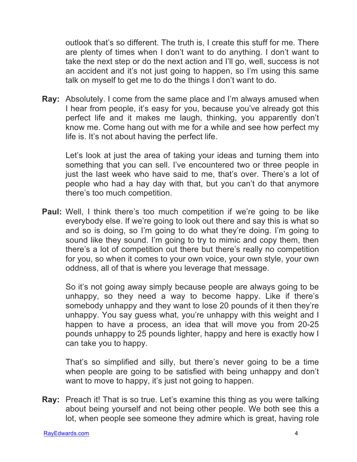outlook that's so different. The truth is, I create this stuff for me. There are plenty of times when I don't want to do anything. I don't want to take the next step or do the next action and I'll go, well, success is not an accident and it's not just going to happen, so I'm using this same talk on myself to get me to do the things I don't want to do.

**Ray:** Absolutely. I come from the same place and I'm always amused when I hear from people, it's easy for you, because you've already got this perfect life and it makes me laugh, thinking, you apparently don't know me. Come hang out with me for a while and see how perfect my life is. It's not about having the perfect life.

Let's look at just the area of taking your ideas and turning them into something that you can sell. I've encountered two or three people in just the last week who have said to me, that's over. There's a lot of people who had a hay day with that, but you can't do that anymore there's too much competition.

**Paul:** Well, I think there's too much competition if we're going to be like everybody else. If we're going to look out there and say this is what so and so is doing, so I'm going to do what they're doing. I'm going to sound like they sound. I'm going to try to mimic and copy them, then there's a lot of competition out there but there's really no competition for you, so when it comes to your own voice, your own style, your own oddness, all of that is where you leverage that message.

So it's not going away simply because people are always going to be unhappy, so they need a way to become happy. Like if there's somebody unhappy and they want to lose 20 pounds of it then they're unhappy. You say guess what, you're unhappy with this weight and I happen to have a process, an idea that will move you from 20-25 pounds unhappy to 25 pounds lighter, happy and here is exactly how I can take you to happy.

That's so simplified and silly, but there's never going to be a time when people are going to be satisfied with being unhappy and don't want to move to happy, it's just not going to happen.

**Ray:** Preach it! That is so true. Let's examine this thing as you were talking about being yourself and not being other people. We both see this a lot, when people see someone they admire which is great, having role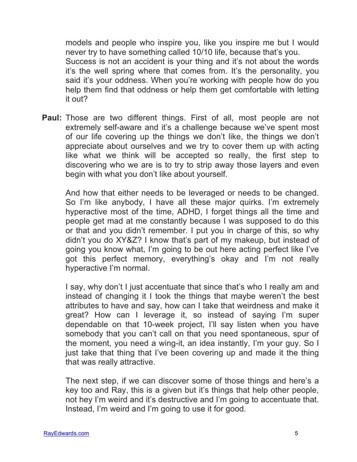models and people who inspire you, like you inspire me but I would never try to have something called 10/10 life, because that's you. Success is not an accident is your thing and it's not about the words it's the well spring where that comes from. It's the personality, you said it's your oddness. When you're working with people how do you help them find that oddness or help them get comfortable with letting it out?

**Paul:** Those are two different things. First of all, most people are not extremely self-aware and it's a challenge because we've spent most of our life covering up the things we don't like, the things we don't appreciate about ourselves and we try to cover them up with acting like what we think will be accepted so really, the first step to discovering who we are is to try to strip away those layers and even begin with what you don't like about yourself.

And how that either needs to be leveraged or needs to be changed. So I'm like anybody, I have all these major quirks. I'm extremely hyperactive most of the time, ADHD, I forget things all the time and people get mad at me constantly because I was supposed to do this or that and you didn't remember. I put you in charge of this, so why didn't you do XY&Z? I know that's part of my makeup, but instead of going you know what, I'm going to be out here acting perfect like I've got this perfect memory, everything's okay and I'm not really hyperactive I'm normal.

I say, why don't I just accentuate that since that's who I really am and instead of changing it I took the things that maybe weren't the best attributes to have and say, how can I take that weirdness and make it great? How can I leverage it, so instead of saying I'm super dependable on that 10-week project, I'll say listen when you have somebody that you can't call on that you need spontaneous, spur of the moment, you need a wing-it, an idea instantly, I'm your guy. So I just take that thing that I've been covering up and made it the thing that was really attractive.

The next step, if we can discover some of those things and here's a key too and Ray, this is a given but it's things that help other people, not hey I'm weird and it's destructive and I'm going to accentuate that. Instead, I'm weird and I'm going to use it for good.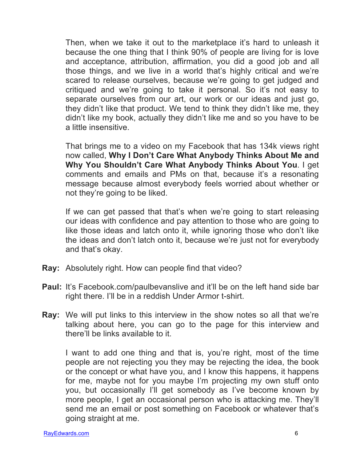Then, when we take it out to the marketplace it's hard to unleash it because the one thing that I think 90% of people are living for is love and acceptance, attribution, affirmation, you did a good job and all those things, and we live in a world that's highly critical and we're scared to release ourselves, because we're going to get judged and critiqued and we're going to take it personal. So it's not easy to separate ourselves from our art, our work or our ideas and just go, they didn't like that product. We tend to think they didn't like me, they didn't like my book, actually they didn't like me and so you have to be a little insensitive.

That brings me to a video on my Facebook that has 134k views right now called, **Why I Don't Care What Anybody Thinks About Me and Why You Shouldn't Care What Anybody Thinks About You**. I get comments and emails and PMs on that, because it's a resonating message because almost everybody feels worried about whether or not they're going to be liked.

If we can get passed that that's when we're going to start releasing our ideas with confidence and pay attention to those who are going to like those ideas and latch onto it, while ignoring those who don't like the ideas and don't latch onto it, because we're just not for everybody and that's okay.

- **Ray:** Absolutely right. How can people find that video?
- **Paul:** It's Facebook.com/paulbevanslive and it'll be on the left hand side bar right there. I'll be in a reddish Under Armor t-shirt.
- **Ray:** We will put links to this interview in the show notes so all that we're talking about here, you can go to the page for this interview and there'll be links available to it.

I want to add one thing and that is, you're right, most of the time people are not rejecting you they may be rejecting the idea, the book or the concept or what have you, and I know this happens, it happens for me, maybe not for you maybe I'm projecting my own stuff onto you, but occasionally I'll get somebody as I've become known by more people, I get an occasional person who is attacking me. They'll send me an email or post something on Facebook or whatever that's going straight at me.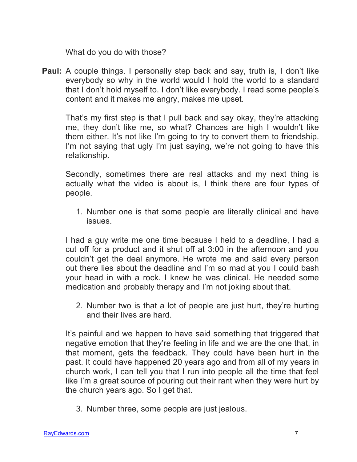What do you do with those?

**Paul:** A couple things. I personally step back and say, truth is, I don't like everybody so why in the world would I hold the world to a standard that I don't hold myself to. I don't like everybody. I read some people's content and it makes me angry, makes me upset.

That's my first step is that I pull back and say okay, they're attacking me, they don't like me, so what? Chances are high I wouldn't like them either. It's not like I'm going to try to convert them to friendship. I'm not saying that ugly I'm just saying, we're not going to have this relationship.

Secondly, sometimes there are real attacks and my next thing is actually what the video is about is, I think there are four types of people.

1. Number one is that some people are literally clinical and have issues.

I had a guy write me one time because I held to a deadline, I had a cut off for a product and it shut off at 3:00 in the afternoon and you couldn't get the deal anymore. He wrote me and said every person out there lies about the deadline and I'm so mad at you I could bash your head in with a rock. I knew he was clinical. He needed some medication and probably therapy and I'm not joking about that.

2. Number two is that a lot of people are just hurt, they're hurting and their lives are hard.

It's painful and we happen to have said something that triggered that negative emotion that they're feeling in life and we are the one that, in that moment, gets the feedback. They could have been hurt in the past. It could have happened 20 years ago and from all of my years in church work, I can tell you that I run into people all the time that feel like I'm a great source of pouring out their rant when they were hurt by the church years ago. So I get that.

3. Number three, some people are just jealous.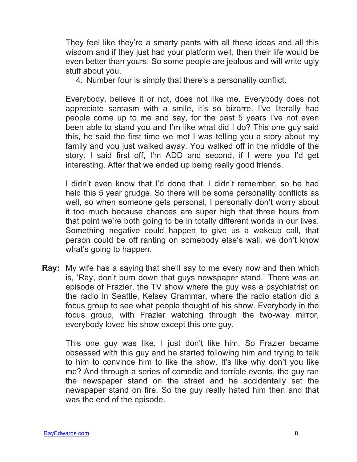They feel like they're a smarty pants with all these ideas and all this wisdom and if they just had your platform well, then their life would be even better than yours. So some people are jealous and will write ugly stuff about you.

4. Number four is simply that there's a personality conflict.

Everybody, believe it or not, does not like me. Everybody does not appreciate sarcasm with a smile, it's so bizarre. I've literally had people come up to me and say, for the past 5 years I've not even been able to stand you and I'm like what did I do? This one guy said this, he said the first time we met I was telling you a story about my family and you just walked away. You walked off in the middle of the story. I said first off, I'm ADD and second, if I were you I'd get interesting. After that we ended up being really good friends.

I didn't even know that I'd done that. I didn't remember, so he had held this 5 year grudge. So there will be some personality conflicts as well, so when someone gets personal, I personally don't worry about it too much because chances are super high that three hours from that point we're both going to be in totally different worlds in our lives. Something negative could happen to give us a wakeup call, that person could be off ranting on somebody else's wall, we don't know what's going to happen.

**Ray:** My wife has a saying that she'll say to me every now and then which is, 'Ray, don't burn down that guys newspaper stand.' There was an episode of Frazier, the TV show where the guy was a psychiatrist on the radio in Seattle, Kelsey Grammar, where the radio station did a focus group to see what people thought of his show. Everybody in the focus group, with Frazier watching through the two-way mirror, everybody loved his show except this one guy.

This one guy was like, I just don't like him. So Frazier became obsessed with this guy and he started following him and trying to talk to him to convince him to like the show. It's like why don't you like me? And through a series of comedic and terrible events, the guy ran the newspaper stand on the street and he accidentally set the newspaper stand on fire. So the guy really hated him then and that was the end of the episode.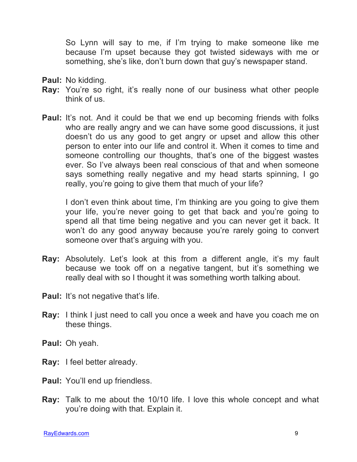So Lynn will say to me, if I'm trying to make someone like me because I'm upset because they got twisted sideways with me or something, she's like, don't burn down that guy's newspaper stand.

- **Paul:** No kidding.
- **Ray:** You're so right, it's really none of our business what other people think of us.
- **Paul:** It's not. And it could be that we end up becoming friends with folks who are really angry and we can have some good discussions, it just doesn't do us any good to get angry or upset and allow this other person to enter into our life and control it. When it comes to time and someone controlling our thoughts, that's one of the biggest wastes ever. So I've always been real conscious of that and when someone says something really negative and my head starts spinning, I go really, you're going to give them that much of your life?

I don't even think about time. I'm thinking are you going to give them your life, you're never going to get that back and you're going to spend all that time being negative and you can never get it back. It won't do any good anyway because you're rarely going to convert someone over that's arguing with you.

- **Ray:** Absolutely. Let's look at this from a different angle, it's my fault because we took off on a negative tangent, but it's something we really deal with so I thought it was something worth talking about.
- **Paul:** It's not negative that's life.
- **Ray:** I think I just need to call you once a week and have you coach me on these things.
- **Paul:** Oh yeah.
- **Ray:** I feel better already.
- **Paul:** You'll end up friendless.
- **Ray:** Talk to me about the 10/10 life. I love this whole concept and what you're doing with that. Explain it.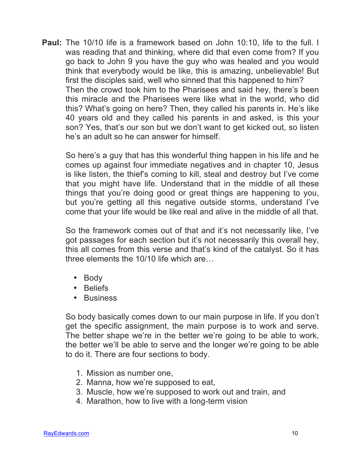**Paul:** The 10/10 life is a framework based on John 10:10, life to the full. I was reading that and thinking, where did that even come from? If you go back to John 9 you have the guy who was healed and you would think that everybody would be like, this is amazing, unbelievable! But first the disciples said, well who sinned that this happened to him? Then the crowd took him to the Pharisees and said hey, there's been this miracle and the Pharisees were like what in the world, who did this? What's going on here? Then, they called his parents in. He's like 40 years old and they called his parents in and asked, is this your son? Yes, that's our son but we don't want to get kicked out, so listen he's an adult so he can answer for himself.

So here's a guy that has this wonderful thing happen in his life and he comes up against four immediate negatives and in chapter 10, Jesus is like listen, the thief's coming to kill, steal and destroy but I've come that you might have life. Understand that in the middle of all these things that you're doing good or great things are happening to you, but you're getting all this negative outside storms, understand I've come that your life would be like real and alive in the middle of all that.

So the framework comes out of that and it's not necessarily like, I've got passages for each section but it's not necessarily this overall hey, this all comes from this verse and that's kind of the catalyst. So it has three elements the 10/10 life which are…

- Body
- Beliefs
- Business

So body basically comes down to our main purpose in life. If you don't get the specific assignment, the main purpose is to work and serve. The better shape we're in the better we're going to be able to work, the better we'll be able to serve and the longer we're going to be able to do it. There are four sections to body.

- 1. Mission as number one,
- 2. Manna, how we're supposed to eat,
- 3. Muscle, how we're supposed to work out and train, and
- 4. Marathon, how to live with a long-term vision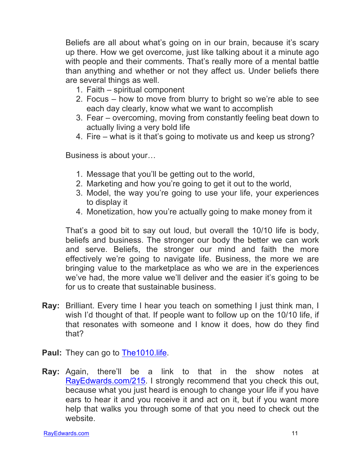Beliefs are all about what's going on in our brain, because it's scary up there. How we get overcome, just like talking about it a minute ago with people and their comments. That's really more of a mental battle than anything and whether or not they affect us. Under beliefs there are several things as well.

- 1. Faith spiritual component
- 2. Focus how to move from blurry to bright so we're able to see each day clearly, know what we want to accomplish
- 3. Fear overcoming, moving from constantly feeling beat down to actually living a very bold life
- 4. Fire what is it that's going to motivate us and keep us strong?

Business is about your…

- 1. Message that you'll be getting out to the world,
- 2. Marketing and how you're going to get it out to the world,
- 3. Model, the way you're going to use your life, your experiences to display it
- 4. Monetization, how you're actually going to make money from it

That's a good bit to say out loud, but overall the 10/10 life is body, beliefs and business. The stronger our body the better we can work and serve. Beliefs, the stronger our mind and faith the more effectively we're going to navigate life. Business, the more we are bringing value to the marketplace as who we are in the experiences we've had, the more value we'll deliver and the easier it's going to be for us to create that sustainable business.

- **Ray:** Brilliant. Every time I hear you teach on something I just think man, I wish I'd thought of that. If people want to follow up on the 10/10 life, if that resonates with someone and I know it does, how do they find that?
- **Paul:** They can go to The1010.life.
- **Ray:** Again, there'll be a link to that in the show notes at RayEdwards.com/215. I strongly recommend that you check this out, because what you just heard is enough to change your life if you have ears to hear it and you receive it and act on it, but if you want more help that walks you through some of that you need to check out the website.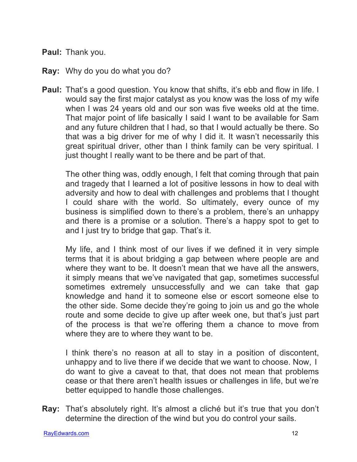**Paul:** Thank you.

**Ray:** Why do you do what you do?

**Paul:** That's a good question. You know that shifts, it's ebb and flow in life. I would say the first major catalyst as you know was the loss of my wife when I was 24 years old and our son was five weeks old at the time. That major point of life basically I said I want to be available for Sam and any future children that I had, so that I would actually be there. So that was a big driver for me of why I did it. It wasn't necessarily this great spiritual driver, other than I think family can be very spiritual. I just thought I really want to be there and be part of that.

The other thing was, oddly enough, I felt that coming through that pain and tragedy that I learned a lot of positive lessons in how to deal with adversity and how to deal with challenges and problems that I thought I could share with the world. So ultimately, every ounce of my business is simplified down to there's a problem, there's an unhappy and there is a promise or a solution. There's a happy spot to get to and I just try to bridge that gap. That's it.

My life, and I think most of our lives if we defined it in very simple terms that it is about bridging a gap between where people are and where they want to be. It doesn't mean that we have all the answers, it simply means that we've navigated that gap, sometimes successful sometimes extremely unsuccessfully and we can take that gap knowledge and hand it to someone else or escort someone else to the other side. Some decide they're going to join us and go the whole route and some decide to give up after week one, but that's just part of the process is that we're offering them a chance to move from where they are to where they want to be.

I think there's no reason at all to stay in a position of discontent, unhappy and to live there if we decide that we want to choose. Now, I do want to give a caveat to that, that does not mean that problems cease or that there aren't health issues or challenges in life, but we're better equipped to handle those challenges.

**Ray:** That's absolutely right. It's almost a cliché but it's true that you don't determine the direction of the wind but you do control your sails.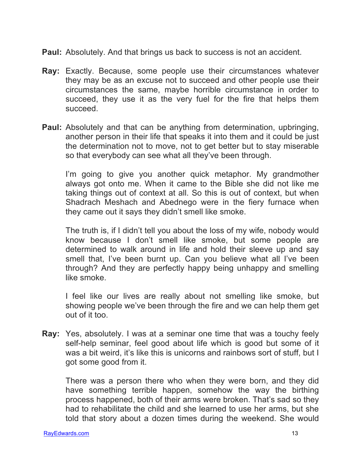- **Paul:** Absolutely. And that brings us back to success is not an accident.
- **Ray:** Exactly. Because, some people use their circumstances whatever they may be as an excuse not to succeed and other people use their circumstances the same, maybe horrible circumstance in order to succeed, they use it as the very fuel for the fire that helps them succeed.
- **Paul:** Absolutely and that can be anything from determination, upbringing, another person in their life that speaks it into them and it could be just the determination not to move, not to get better but to stay miserable so that everybody can see what all they've been through.

I'm going to give you another quick metaphor. My grandmother always got onto me. When it came to the Bible she did not like me taking things out of context at all. So this is out of context, but when Shadrach Meshach and Abednego were in the fiery furnace when they came out it says they didn't smell like smoke.

The truth is, if I didn't tell you about the loss of my wife, nobody would know because I don't smell like smoke, but some people are determined to walk around in life and hold their sleeve up and say smell that, I've been burnt up. Can you believe what all I've been through? And they are perfectly happy being unhappy and smelling like smoke.

I feel like our lives are really about not smelling like smoke, but showing people we've been through the fire and we can help them get out of it too.

**Ray:** Yes, absolutely. I was at a seminar one time that was a touchy feely self-help seminar, feel good about life which is good but some of it was a bit weird, it's like this is unicorns and rainbows sort of stuff, but I got some good from it.

There was a person there who when they were born, and they did have something terrible happen, somehow the way the birthing process happened, both of their arms were broken. That's sad so they had to rehabilitate the child and she learned to use her arms, but she told that story about a dozen times during the weekend. She would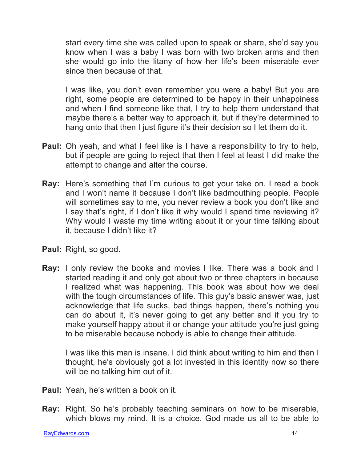start every time she was called upon to speak or share, she'd say you know when I was a baby I was born with two broken arms and then she would go into the litany of how her life's been miserable ever since then because of that.

I was like, you don't even remember you were a baby! But you are right, some people are determined to be happy in their unhappiness and when I find someone like that, I try to help them understand that maybe there's a better way to approach it, but if they're determined to hang onto that then I just figure it's their decision so I let them do it.

- **Paul:** Oh yeah, and what I feel like is I have a responsibility to try to help, but if people are going to reject that then I feel at least I did make the attempt to change and alter the course.
- **Ray:** Here's something that I'm curious to get your take on. I read a book and I won't name it because I don't like badmouthing people. People will sometimes say to me, you never review a book you don't like and I say that's right, if I don't like it why would I spend time reviewing it? Why would I waste my time writing about it or your time talking about it, because I didn't like it?
- **Paul:** Right, so good.
- **Ray:** I only review the books and movies I like. There was a book and I started reading it and only got about two or three chapters in because I realized what was happening. This book was about how we deal with the tough circumstances of life. This guy's basic answer was, just acknowledge that life sucks, bad things happen, there's nothing you can do about it, it's never going to get any better and if you try to make yourself happy about it or change your attitude you're just going to be miserable because nobody is able to change their attitude.

I was like this man is insane. I did think about writing to him and then I thought, he's obviously got a lot invested in this identity now so there will be no talking him out of it.

- **Paul:** Yeah, he's written a book on it.
- **Ray:** Right. So he's probably teaching seminars on how to be miserable, which blows my mind. It is a choice. God made us all to be able to

RayEdwards.com **14**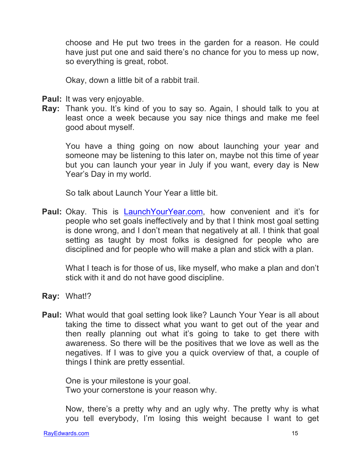choose and He put two trees in the garden for a reason. He could have just put one and said there's no chance for you to mess up now, so everything is great, robot.

Okay, down a little bit of a rabbit trail.

- **Paul:** It was very enjoyable.
- **Ray:** Thank you. It's kind of you to say so. Again, I should talk to you at least once a week because you say nice things and make me feel good about myself.

You have a thing going on now about launching your year and someone may be listening to this later on, maybe not this time of year but you can launch your year in July if you want, every day is New Year's Day in my world.

So talk about Launch Your Year a little bit.

**Paul:** Okay. This is LaunchYourYear.com, how convenient and it's for people who set goals ineffectively and by that I think most goal setting is done wrong, and I don't mean that negatively at all. I think that goal setting as taught by most folks is designed for people who are disciplined and for people who will make a plan and stick with a plan.

What I teach is for those of us, like myself, who make a plan and don't stick with it and do not have good discipline.

- **Ray:** What!?
- **Paul:** What would that goal setting look like? Launch Your Year is all about taking the time to dissect what you want to get out of the year and then really planning out what it's going to take to get there with awareness. So there will be the positives that we love as well as the negatives. If I was to give you a quick overview of that, a couple of things I think are pretty essential.

One is your milestone is your goal. Two your cornerstone is your reason why.

Now, there's a pretty why and an ugly why. The pretty why is what you tell everybody, I'm losing this weight because I want to get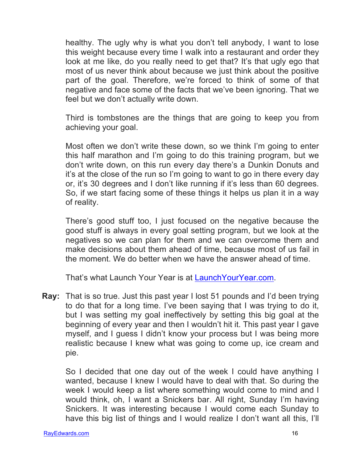healthy. The ugly why is what you don't tell anybody, I want to lose this weight because every time I walk into a restaurant and order they look at me like, do you really need to get that? It's that ugly ego that most of us never think about because we just think about the positive part of the goal. Therefore, we're forced to think of some of that negative and face some of the facts that we've been ignoring. That we feel but we don't actually write down.

Third is tombstones are the things that are going to keep you from achieving your goal.

Most often we don't write these down, so we think I'm going to enter this half marathon and I'm going to do this training program, but we don't write down, on this run every day there's a Dunkin Donuts and it's at the close of the run so I'm going to want to go in there every day or, it's 30 degrees and I don't like running if it's less than 60 degrees. So, if we start facing some of these things it helps us plan it in a way of reality.

There's good stuff too, I just focused on the negative because the good stuff is always in every goal setting program, but we look at the negatives so we can plan for them and we can overcome them and make decisions about them ahead of time, because most of us fail in the moment. We do better when we have the answer ahead of time.

That's what Launch Your Year is at LaunchYourYear.com.

**Ray:** That is so true. Just this past year I lost 51 pounds and I'd been trying to do that for a long time. I've been saying that I was trying to do it, but I was setting my goal ineffectively by setting this big goal at the beginning of every year and then I wouldn't hit it. This past year I gave myself, and I guess I didn't know your process but I was being more realistic because I knew what was going to come up, ice cream and pie.

So I decided that one day out of the week I could have anything I wanted, because I knew I would have to deal with that. So during the week I would keep a list where something would come to mind and I would think, oh, I want a Snickers bar. All right, Sunday I'm having Snickers. It was interesting because I would come each Sunday to have this big list of things and I would realize I don't want all this, I'll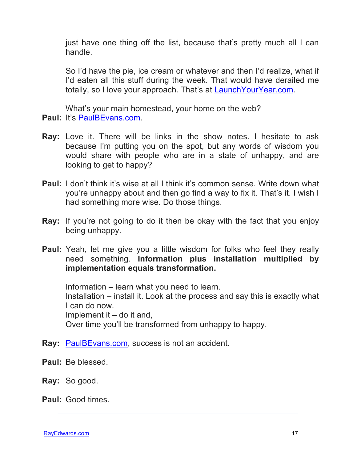just have one thing off the list, because that's pretty much all I can handle.

So I'd have the pie, ice cream or whatever and then I'd realize, what if I'd eaten all this stuff during the week. That would have derailed me totally, so I love your approach. That's at LaunchYourYear.com.

What's your main homestead, your home on the web? Paul: It's PaulBEvans.com.

- **Ray:** Love it. There will be links in the show notes. I hesitate to ask because I'm putting you on the spot, but any words of wisdom you would share with people who are in a state of unhappy, and are looking to get to happy?
- **Paul:** I don't think it's wise at all I think it's common sense. Write down what you're unhappy about and then go find a way to fix it. That's it. I wish I had something more wise. Do those things.
- **Ray:** If you're not going to do it then be okay with the fact that you enjoy being unhappy.
- **Paul:** Yeah, let me give you a little wisdom for folks who feel they really need something. **Information plus installation multiplied by implementation equals transformation.**

Information – learn what you need to learn. Installation – install it. Look at the process and say this is exactly what I can do now. Implement it – do it and, Over time you'll be transformed from unhappy to happy.

- **Ray:** PaulBEvans.com, success is not an accident.
- **Paul:** Be blessed.
- **Ray:** So good.

**Paul:** Good times.

RayEdwards.com 17